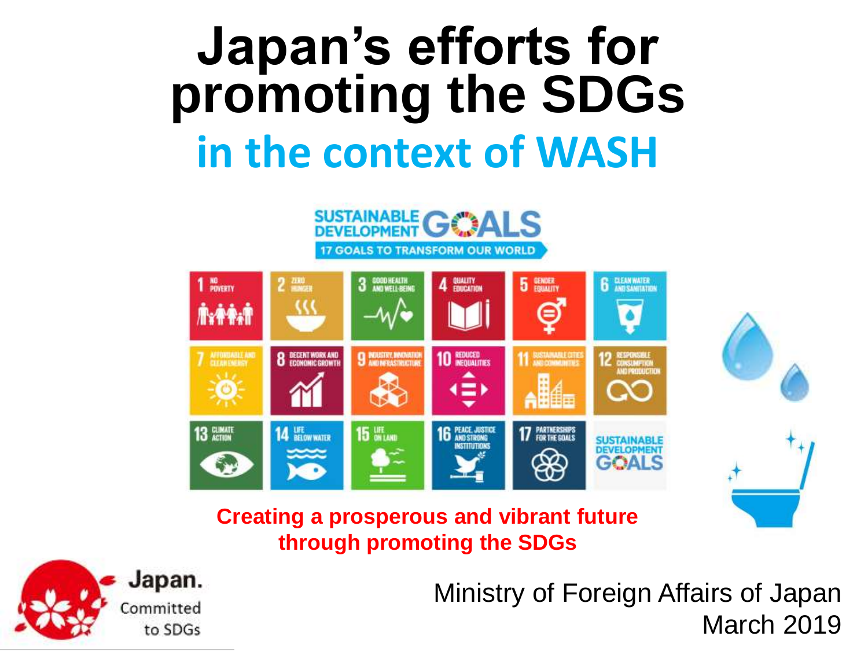# **Japan's efforts for promoting the SDGs in the context of WASH**



# **Creating a prosperous and vibrant future through promoting the SDGs**



March 2019 Ministry of Foreign Affairs of Japan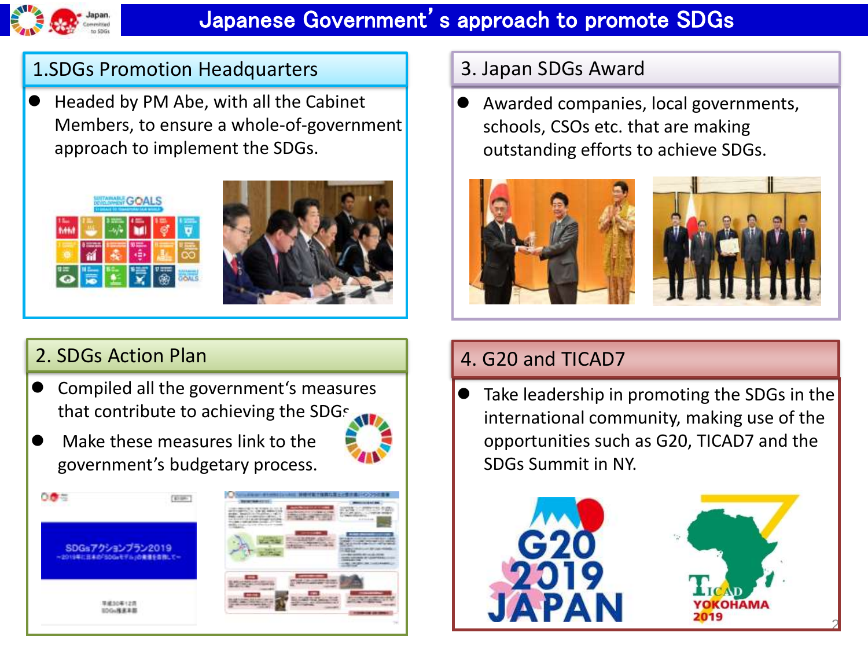

# Japanese Government's approach to promote SDGs

#### 1.SDGs Promotion Headquarters

 Headed by PM Abe, with all the Cabinet Members, to ensure a whole-of-government approach to implement the SDGs.





# 2. SDGs Action Plan

 Compiled all the government's measures that contribute to achieving the SDGs.







# 3. Japan SDGs Award

 Awarded companies, local governments, schools, CSOs etc. that are making outstanding efforts to achieve SDGs.



# 4. G20 and TICAD7

 Take leadership in promoting the SDGs in the international community, making use of the opportunities such as G20, TICAD7 and the SDGs Summit in NY.





2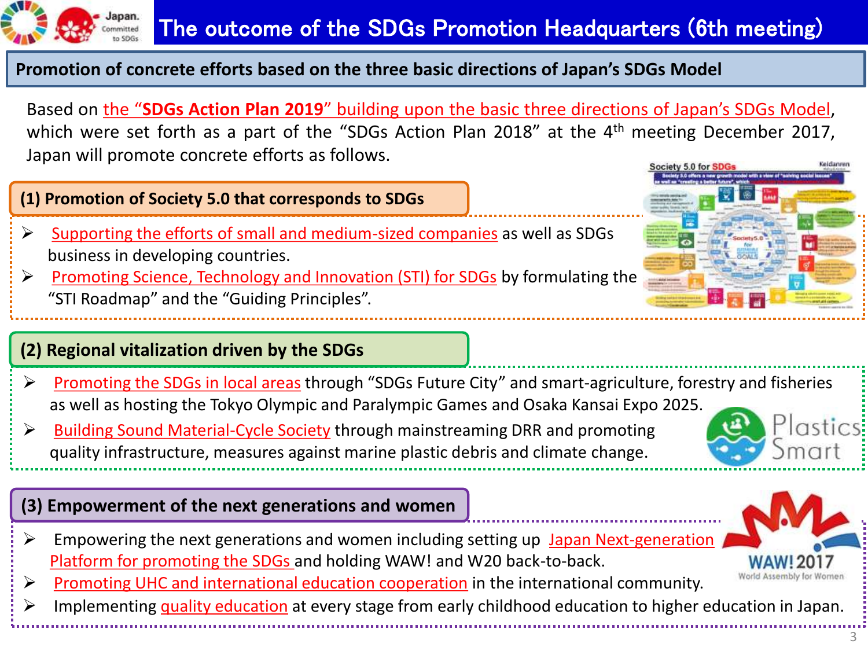

#### **Promotion of concrete efforts based on the three basic directions of Japan's SDGs Model**

Based on the "**SDGs Action Plan 2019**" building upon the basic three directions of Japan's SDGs Model, which were set forth as a part of the "SDGs Action Plan 2018" at the 4<sup>th</sup> meeting December 2017, Japan will promote concrete efforts as follows.

#### **(1) Promotion of Society 5.0 that corresponds to SDGs**

- $\triangleright$  Supporting the efforts of small and medium-sized companies as well as SDGs business in developing countries.
- Promoting Science, Technology and Innovation (STI) for SDGs by formulating the "STI Roadmap" and the "Guiding Principles".

#### **(2) Regional vitalization driven by the SDGs**

- ▶ Promoting the SDGs in local areas through "SDGs Future City" and smart-agriculture, forestry and fisheries as well as hosting the Tokyo Olympic and Paralympic Games and Osaka Kansai Expo 2025.
- **►** Building Sound Material-Cycle Society through mainstreaming DRR and promoting quality infrastructure, measures against marine plastic debris and climate change.

#### **(3) Empowerment of the next generations and women**

- $\triangleright$  Empowering the next generations and women including setting up Japan Next-generation Platform for promoting the SDGs and holding WAW! and W20 back-to-back.
- $\triangleright$  Promoting UHC and international education cooperation in the international community.
- $\triangleright$  Implementing quality education at every stage from early childhood education to higher education in Japan.





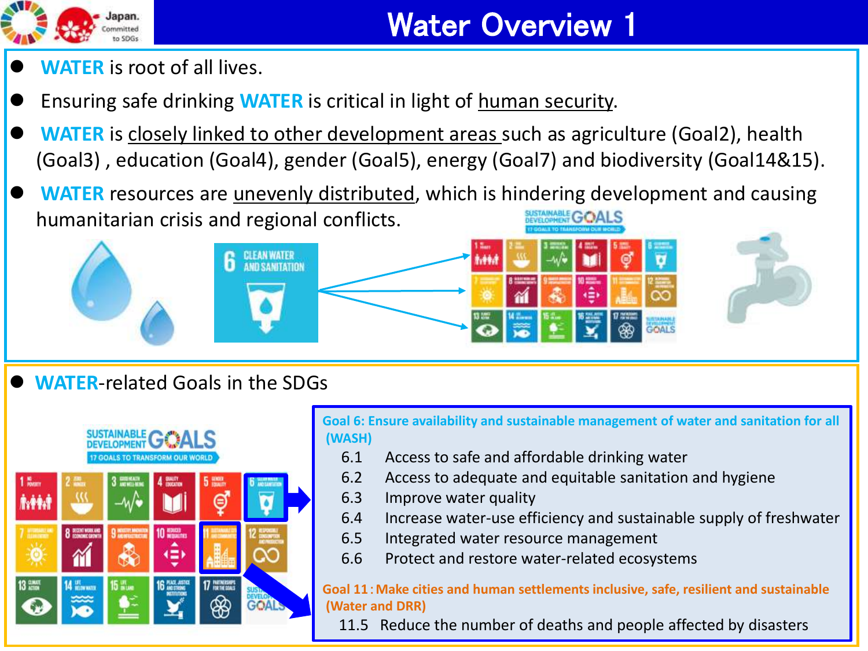

- **WATER** is root of all lives.
- Ensuring safe drinking **WATER** is critical in light of human security.
- **WATER** is closely linked to other development areas such as agriculture (Goal2), health (Goal3) , education (Goal4), gender (Goal5), energy (Goal7) and biodiversity (Goal14&15).
- **WATER** resources are unevenly distributed, which is hindering development and causing humanitarian crisis and regional conflicts. **ALS**



**WATER**-related Goals in the SDGs



**Goal 6: Ensure availability and sustainable management of water and sanitation for all (WASH)** 

- 6.1 Access to safe and affordable drinking water
- 6.2 Access to adequate and equitable sanitation and hygiene
- 6.3 Improve water quality
- 6.4 Increase water-use efficiency and sustainable supply of freshwater
- 6.5 Integrated water resource management
- 6.6 Protect and restore water-related ecosystems

**Goal 11**:**Make cities and human settlements inclusive, safe, resilient and sustainable (Water and DRR)** 

4 11.5 Reduce the number of deaths and people affected by disasters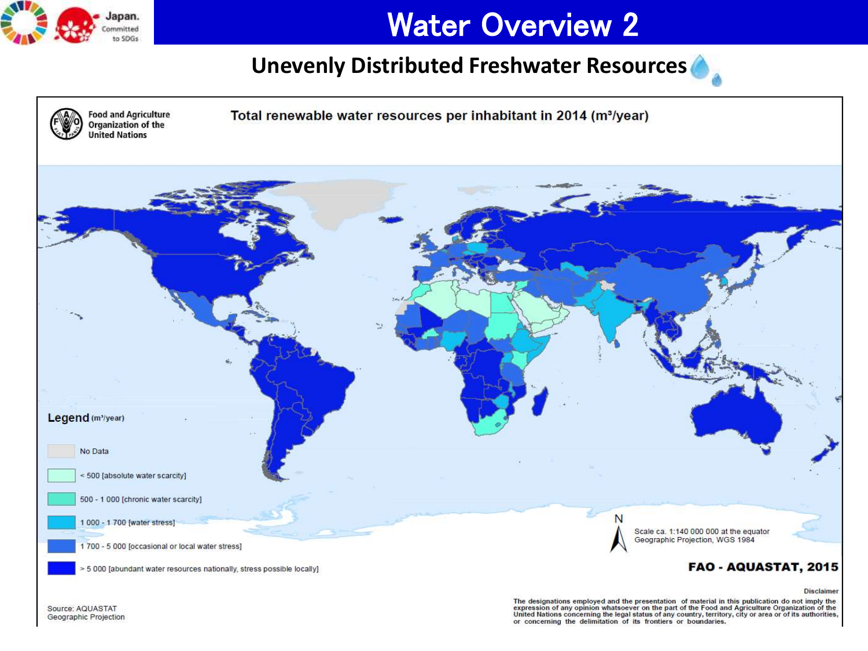

# Water Overview 2

# **Unevenly Distributed Freshwater Resources**